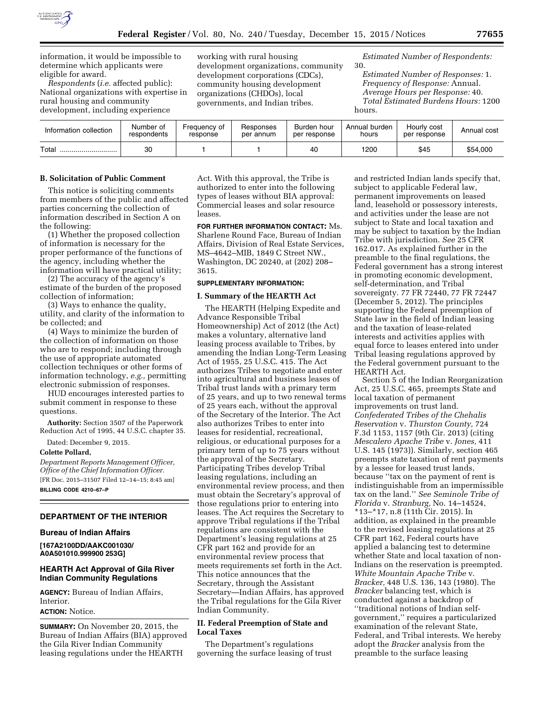

information, it would be impossible to determine which applicants were eligible for award.

*Respondents* (*i.e.* affected public): National organizations with expertise in rural housing and community development, including experience

working with rural housing development organizations, community development corporations (CDCs), community housing development organizations (CHDOs), local governments, and Indian tribes.

*Estimated Number of Respondents:*  30.

*Estimated Number of Responses:* 1. *Frequency of Response:* Annual. *Average Hours per Response:* 40. *Total Estimated Burdens Hours:* 1200 hours.

| Information collection | Number of<br>respondents | Freauencv of<br>response | Responses<br>per annum | Burden hour<br>per response | Annual burden<br>hours | Hourly cost<br>per response | Annual cost |
|------------------------|--------------------------|--------------------------|------------------------|-----------------------------|------------------------|-----------------------------|-------------|
| Total                  | 30                       |                          |                        | 40                          | 1200                   | \$45                        | \$54,000    |

## **B. Solicitation of Public Comment**

This notice is soliciting comments from members of the public and affected parties concerning the collection of information described in Section A on the following:

(1) Whether the proposed collection of information is necessary for the proper performance of the functions of the agency, including whether the information will have practical utility;

(2) The accuracy of the agency's estimate of the burden of the proposed collection of information;

(3) Ways to enhance the quality, utility, and clarity of the information to be collected; and

(4) Ways to minimize the burden of the collection of information on those who are to respond; including through the use of appropriate automated collection techniques or other forms of information technology, *e.g.,* permitting electronic submission of responses.

HUD encourages interested parties to submit comment in response to these questions.

**Authority:** Section 3507 of the Paperwork Reduction Act of 1995, 44 U.S.C. chapter 35.

Dated: December 9, 2015.

## **Colette Pollard,**

*Department Reports Management Officer, Office of the Chief Information Officer.*  [FR Doc. 2015–31507 Filed 12–14–15; 8:45 am] **BILLING CODE 4210–67–P** 

## **DEPARTMENT OF THE INTERIOR**

# **Bureau of Indian Affairs**

**[167A2100DD/AAKC001030/ A0A501010.999900 253G]** 

### **HEARTH Act Approval of Gila River Indian Community Regulations**

**AGENCY:** Bureau of Indian Affairs, Interior.

#### **ACTION:** Notice.

**SUMMARY:** On November 20, 2015, the Bureau of Indian Affairs (BIA) approved the Gila River Indian Community leasing regulations under the HEARTH

Act. With this approval, the Tribe is authorized to enter into the following types of leases without BIA approval: Commercial leases and solar resource leases.

**FOR FURTHER INFORMATION CONTACT:** Ms. Sharlene Round Face, Bureau of Indian Affairs, Division of Real Estate Services, MS–4642–MIB, 1849 C Street NW., Washington, DC 20240, at (202) 208– 3615.

### **SUPPLEMENTARY INFORMATION:**

### **I. Summary of the HEARTH Act**

The HEARTH (Helping Expedite and Advance Responsible Tribal Homeownership) Act of 2012 (the Act) makes a voluntary, alternative land leasing process available to Tribes, by amending the Indian Long-Term Leasing Act of 1955, 25 U.S.C. 415. The Act authorizes Tribes to negotiate and enter into agricultural and business leases of Tribal trust lands with a primary term of 25 years, and up to two renewal terms of 25 years each, without the approval of the Secretary of the Interior. The Act also authorizes Tribes to enter into leases for residential, recreational, religious, or educational purposes for a primary term of up to 75 years without the approval of the Secretary. Participating Tribes develop Tribal leasing regulations, including an environmental review process, and then must obtain the Secretary's approval of those regulations prior to entering into leases. The Act requires the Secretary to approve Tribal regulations if the Tribal regulations are consistent with the Department's leasing regulations at 25 CFR part 162 and provide for an environmental review process that meets requirements set forth in the Act. This notice announces that the Secretary, through the Assistant Secretary—Indian Affairs, has approved the Tribal regulations for the Gila River Indian Community.

## **II. Federal Preemption of State and Local Taxes**

The Department's regulations governing the surface leasing of trust

and restricted Indian lands specify that, subject to applicable Federal law, permanent improvements on leased land, leasehold or possessory interests, and activities under the lease are not subject to State and local taxation and may be subject to taxation by the Indian Tribe with jurisdiction. *See* 25 CFR 162.017. As explained further in the preamble to the final regulations, the Federal government has a strong interest in promoting economic development, self-determination, and Tribal sovereignty. 77 FR 72440, 77 FR 72447 (December 5, 2012). The principles supporting the Federal preemption of State law in the field of Indian leasing and the taxation of lease-related interests and activities applies with equal force to leases entered into under Tribal leasing regulations approved by the Federal government pursuant to the HEARTH Act.

Section 5 of the Indian Reorganization Act, 25 U.S.C. 465, preempts State and local taxation of permanent improvements on trust land. *Confederated Tribes of the Chehalis Reservation* v. *Thurston County,* 724 F.3d 1153, 1157 (9th Cir. 2013) (citing *Mescalero Apache Tribe* v. *Jones,* 411 U.S. 145 (1973)). Similarly, section 465 preempts state taxation of rent payments by a lessee for leased trust lands, because ''tax on the payment of rent is indistinguishable from an impermissible tax on the land.'' *See Seminole Tribe of Florida* v. *Stranburg,* No. 14–14524, \*13–\*17, n.8 (11th Cir. 2015). In addition, as explained in the preamble to the revised leasing regulations at 25 CFR part 162, Federal courts have applied a balancing test to determine whether State and local taxation of non-Indians on the reservation is preempted. *White Mountain Apache Tribe* v. *Bracker,* 448 U.S. 136, 143 (1980). The *Bracker* balancing test, which is conducted against a backdrop of ''traditional notions of Indian selfgovernment,'' requires a particularized examination of the relevant State, Federal, and Tribal interests. We hereby adopt the *Bracker* analysis from the preamble to the surface leasing